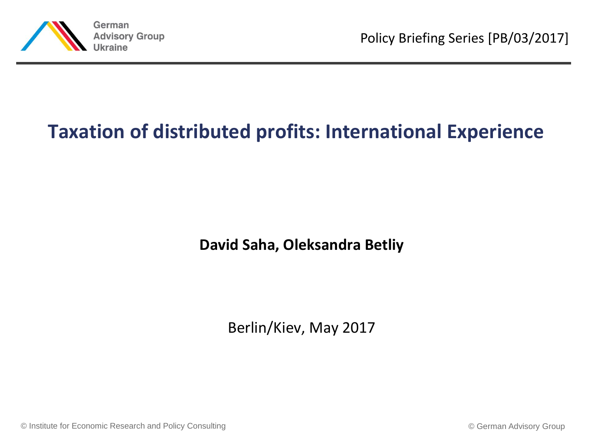

## **Taxation of distributed profits: International Experience**

**David Saha, Oleksandra Betliy**

Berlin/Kiev, May 2017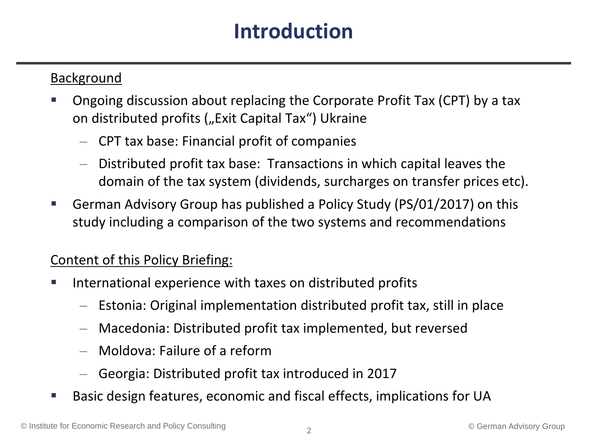# **Introduction**

#### Background

- Ongoing discussion about replacing the Corporate Profit Tax (CPT) by a tax on distributed profits ("Exit Capital Tax") Ukraine
	- CPT tax base: Financial profit of companies
	- Distributed profit tax base: Transactions in which capital leaves the domain of the tax system (dividends, surcharges on transfer prices etc).
- German Advisory Group has published a Policy Study (PS/01/2017) on this study including a comparison of the two systems and recommendations

#### Content of this Policy Briefing:

- **IF International experience with taxes on distributed profits** 
	- Estonia: Original implementation distributed profit tax, still in place
	- Macedonia: Distributed profit tax implemented, but reversed
	- Moldova: Failure of a reform
	- Georgia: Distributed profit tax introduced in 2017
- Basic design features, economic and fiscal effects, implications for UA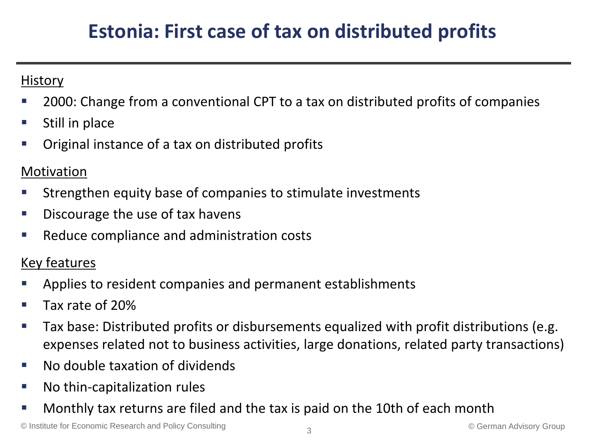# **Estonia: First case of tax on distributed profits**

#### **History**

- 2000: Change from a conventional CPT to a tax on distributed profits of companies
- $\blacksquare$  Still in place
- **Original instance of a tax on distributed profits**

#### Motivation

- Strengthen equity base of companies to stimulate investments
- **Discourage the use of tax havens**
- Reduce compliance and administration costs

- Applies to resident companies and permanent establishments
- Tax rate of 20%
- Tax base: Distributed profits or disbursements equalized with profit distributions (e.g. expenses related not to business activities, large donations, related party transactions)
- No double taxation of dividends
- **No thin-capitalization rules**
- Monthly tax returns are filed and the tax is paid on the 10th of each month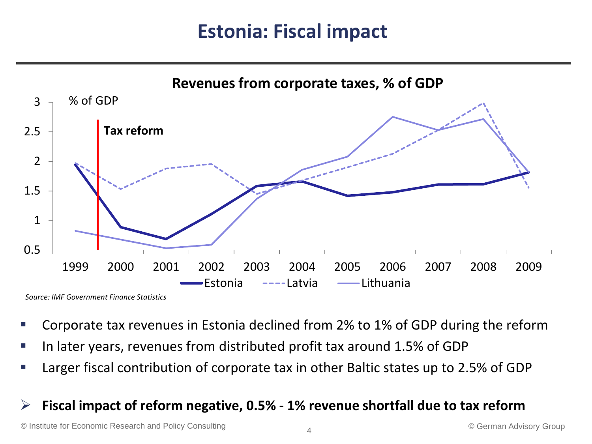## **Estonia: Fiscal impact**



*Source: IMF Government Finance Statistics*

- Corporate tax revenues in Estonia declined from 2% to 1% of GDP during the reform
- In later years, revenues from distributed profit tax around 1.5% of GDP
- Larger fiscal contribution of corporate tax in other Baltic states up to 2.5% of GDP

#### **Fiscal impact of reform negative, 0.5% - 1% revenue shortfall due to tax reform**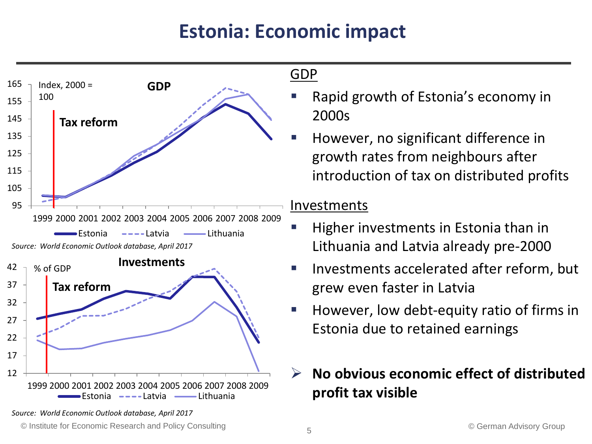# **Estonia: Economic impact**



GDP

- Rapid growth of Estonia's economy in 2000s
- However, no significant difference in growth rates from neighbours after introduction of tax on distributed profits

#### Investments

- Higher investments in Estonia than in Lithuania and Latvia already pre-2000
- Investments accelerated after reform, but grew even faster in Latvia
- However, low debt-equity ratio of firms in Estonia due to retained earnings

## **No obvious economic effect of distributed profit tax visible**

*Source: World Economic Outlook database, April 2017*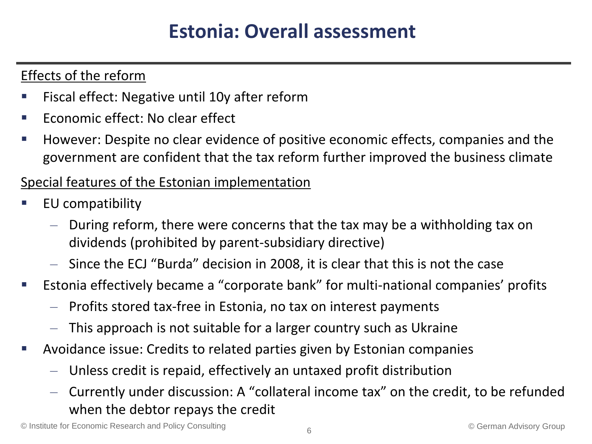## **Estonia: Overall assessment**

### Effects of the reform

- Fiscal effect: Negative until 10y after reform
- Economic effect: No clear effect
- However: Despite no clear evidence of positive economic effects, companies and the government are confident that the tax reform further improved the business climate

#### Special features of the Estonian implementation

- EU compatibility
	- During reform, there were concerns that the tax may be a withholding tax on dividends (prohibited by parent-subsidiary directive)
	- Since the ECJ "Burda" decision in 2008, it is clear that this is not the case
- Estonia effectively became a "corporate bank" for multi-national companies' profits
	- Profits stored tax-free in Estonia, no tax on interest payments
	- This approach is not suitable for a larger country such as Ukraine
- Avoidance issue: Credits to related parties given by Estonian companies
	- Unless credit is repaid, effectively an untaxed profit distribution
	- Currently under discussion: A "collateral income tax" on the credit, to be refunded when the debtor repays the credit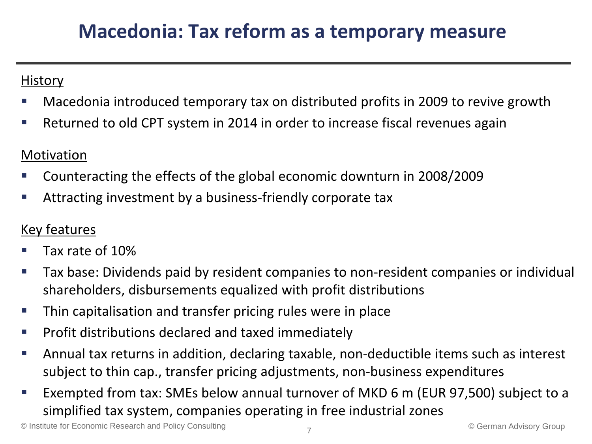## **Macedonia: Tax reform as a temporary measure**

#### **History**

- Macedonia introduced temporary tax on distributed profits in 2009 to revive growth
- Returned to old CPT system in 2014 in order to increase fiscal revenues again

### Motivation

- Counteracting the effects of the global economic downturn in 2008/2009
- Attracting investment by a business-friendly corporate tax

- Tax rate of 10%
- Tax base: Dividends paid by resident companies to non-resident companies or individual shareholders, disbursements equalized with profit distributions
- Thin capitalisation and transfer pricing rules were in place
- **Profit distributions declared and taxed immediately**
- Annual tax returns in addition, declaring taxable, non-deductible items such as interest subject to thin cap., transfer pricing adjustments, non-business expenditures
- Exempted from tax: SMEs below annual turnover of MKD 6 m (EUR 97,500) subject to a simplified tax system, companies operating in free industrial zones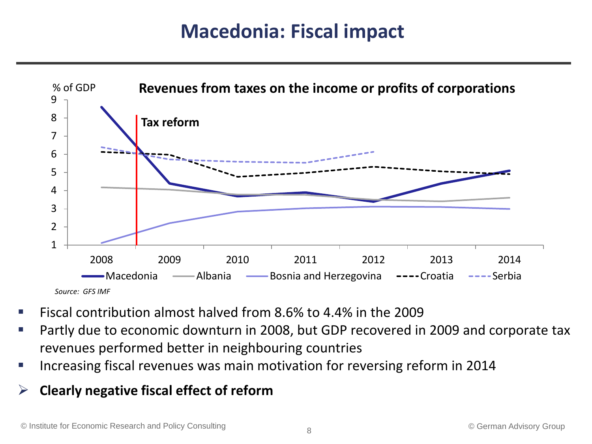## **Macedonia: Fiscal impact**



- Fiscal contribution almost halved from 8.6% to 4.4% in the 2009
- Partly due to economic downturn in 2008, but GDP recovered in 2009 and corporate tax revenues performed better in neighbouring countries
- **IF Increasing fiscal revenues was main motivation for reversing reform in 2014**
- **Clearly negative fiscal effect of reform**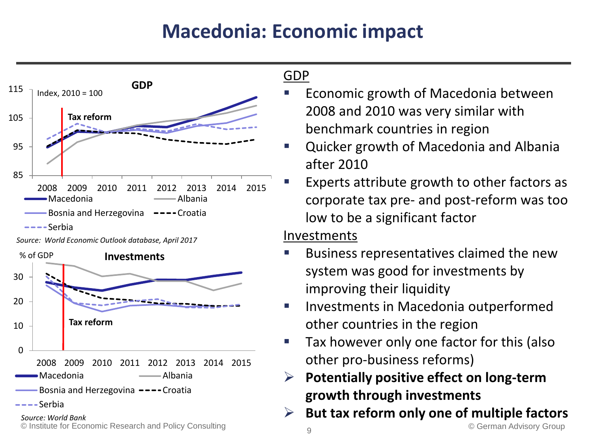# **Macedonia: Economic impact**



*Source: World Economic Outlook database, April 2017*



# GDP

- Economic growth of Macedonia between 2008 and 2010 was very similar with benchmark countries in region
- Quicker growth of Macedonia and Albania after 2010
- Experts attribute growth to other factors as corporate tax pre- and post-reform was too low to be a significant factor

#### Investments

- Business representatives claimed the new system was good for investments by improving their liquidity
- **Investments in Macedonia outperformed** other countries in the region
- **Tax however only one factor for this (also** other pro-business reforms)
- **Potentially positive effect on long-term growth through investments**
- **But tax reform only one of multiple factors**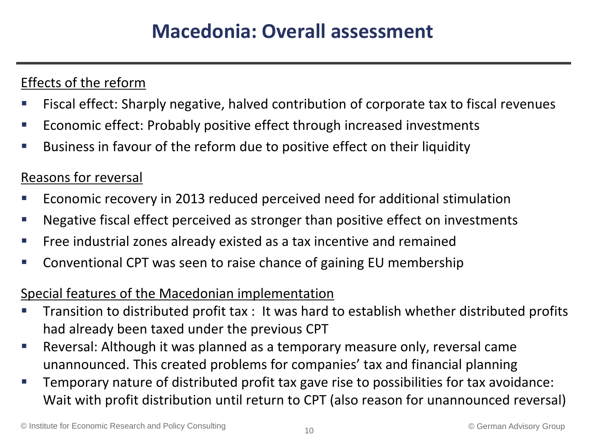## Effects of the reform

- Fiscal effect: Sharply negative, halved contribution of corporate tax to fiscal revenues
- Economic effect: Probably positive effect through increased investments
- Business in favour of the reform due to positive effect on their liquidity

### Reasons for reversal

- Economic recovery in 2013 reduced perceived need for additional stimulation
- Negative fiscal effect perceived as stronger than positive effect on investments
- Free industrial zones already existed as a tax incentive and remained
- Conventional CPT was seen to raise chance of gaining EU membership

#### Special features of the Macedonian implementation

- Transition to distributed profit tax : It was hard to establish whether distributed profits had already been taxed under the previous CPT
- Reversal: Although it was planned as a temporary measure only, reversal came unannounced. This created problems for companies' tax and financial planning
- Temporary nature of distributed profit tax gave rise to possibilities for tax avoidance: Wait with profit distribution until return to CPT (also reason for unannounced reversal)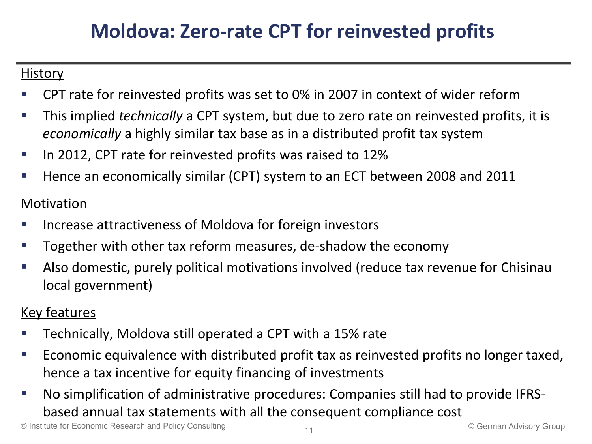# **Moldova: Zero-rate CPT for reinvested profits**

#### **History**

- CPT rate for reinvested profits was set to 0% in 2007 in context of wider reform
- This implied *technically* a CPT system, but due to zero rate on reinvested profits, it is *economically* a highly similar tax base as in a distributed profit tax system
- In 2012, CPT rate for reinvested profits was raised to 12%
- Hence an economically similar (CPT) system to an ECT between 2008 and 2011

### Motivation

- Increase attractiveness of Moldova for foreign investors
- Together with other tax reform measures, de-shadow the economy
- Also domestic, purely political motivations involved (reduce tax revenue for Chisinau local government)

- Technically, Moldova still operated a CPT with a 15% rate
- **Example 2** Economic equivalence with distributed profit tax as reinvested profits no longer taxed, hence a tax incentive for equity financing of investments
- No simplification of administrative procedures: Companies still had to provide IFRSbased annual tax statements with all the consequent compliance cost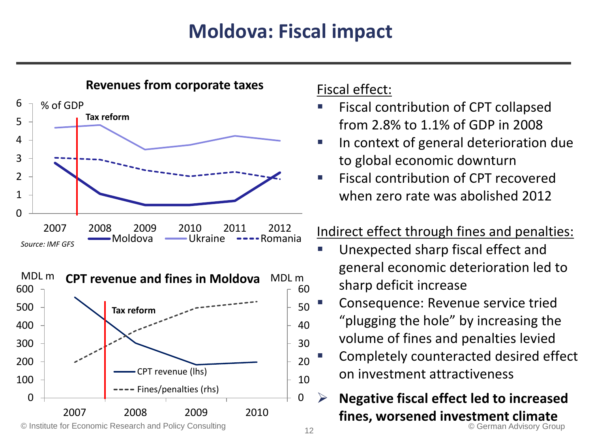# **Moldova: Fiscal impact**



#### Fiscal effect:

- **Fiscal contribution of CPT collapsed** from 2.8% to 1.1% of GDP in 2008
- In context of general deterioration due to global economic downturn
- **Fiscal contribution of CPT recovered** when zero rate was abolished 2012

## Indirect effect through fines and penalties:

- **Unexpected sharp fiscal effect and** general economic deterioration led to sharp deficit increase
- **Tausende** Consequence: Revenue service tried "plugging the hole" by increasing the volume of fines and penalties levied
- Completely counteracted desired effect on investment attractiveness
- © Institute for Economic Research and Policy Consulting © German Advisory Group **Negative fiscal effect led to increased fines, worsened investment climate**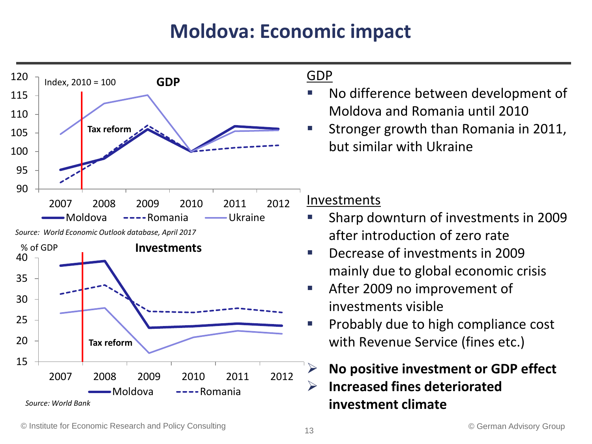# **Moldova: Economic impact**





#### GDP

- No difference between development of Moldova and Romania until 2010
- Stronger growth than Romania in 2011, but similar with Ukraine

#### Investments

- Sharp downturn of investments in 2009 after introduction of zero rate
- Decrease of investments in 2009 mainly due to global economic crisis
- After 2009 no improvement of investments visible
- Probably due to high compliance cost with Revenue Service (fines etc.)

## **No positive investment or GDP effect Increased fines deteriorated investment climate**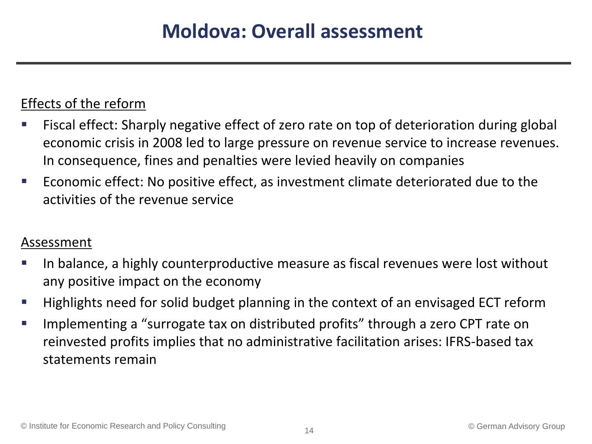### Effects of the reform

- Fiscal effect: Sharply negative effect of zero rate on top of deterioration during global economic crisis in 2008 led to large pressure on revenue service to increase revenues. In consequence, fines and penalties were levied heavily on companies
- Economic effect: No positive effect, as investment climate deteriorated due to the activities of the revenue service

#### Assessment

- In balance, a highly counterproductive measure as fiscal revenues were lost without any positive impact on the economy
- Highlights need for solid budget planning in the context of an envisaged ECT reform
- **If all implementing a "surrogate tax on distributed profits" through a zero CPT rate on** reinvested profits implies that no administrative facilitation arises: IFRS-based tax statements remain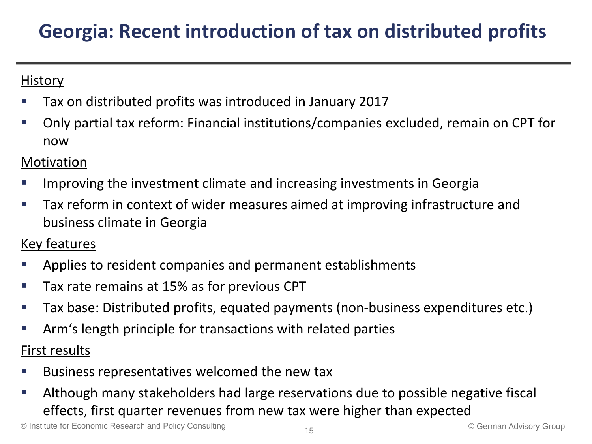# **Georgia: Recent introduction of tax on distributed profits**

### **History**

- Tax on distributed profits was introduced in January 2017
- Only partial tax reform: Financial institutions/companies excluded, remain on CPT for now

### Motivation

- Improving the investment climate and increasing investments in Georgia
- Tax reform in context of wider measures aimed at improving infrastructure and business climate in Georgia

- Applies to resident companies and permanent establishments
- **Tax rate remains at 15% as for previous CPT**
- Tax base: Distributed profits, equated payments (non-business expenditures etc.)
- Arm's length principle for transactions with related parties First results
- Business representatives welcomed the new tax
- Although many stakeholders had large reservations due to possible negative fiscal effects, first quarter revenues from new tax were higher than expected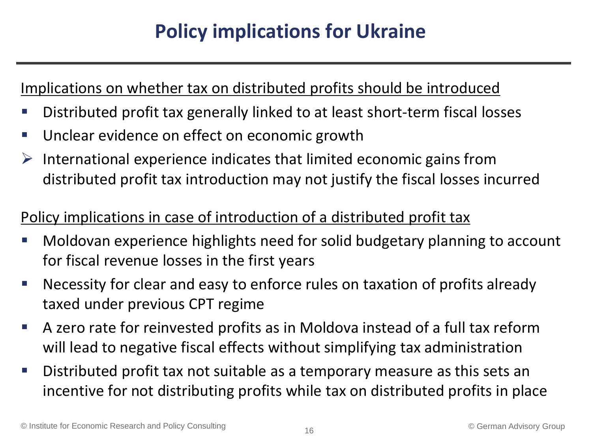# **Policy implications for Ukraine**

### Implications on whether tax on distributed profits should be introduced

- Distributed profit tax generally linked to at least short-term fiscal losses
- **Unclear evidence on effect on economic growth**
- $\triangleright$  International experience indicates that limited economic gains from distributed profit tax introduction may not justify the fiscal losses incurred

## Policy implications in case of introduction of a distributed profit tax

- Moldovan experience highlights need for solid budgetary planning to account for fiscal revenue losses in the first years
- Necessity for clear and easy to enforce rules on taxation of profits already taxed under previous CPT regime
- A zero rate for reinvested profits as in Moldova instead of a full tax reform will lead to negative fiscal effects without simplifying tax administration
- Distributed profit tax not suitable as a temporary measure as this sets an incentive for not distributing profits while tax on distributed profits in place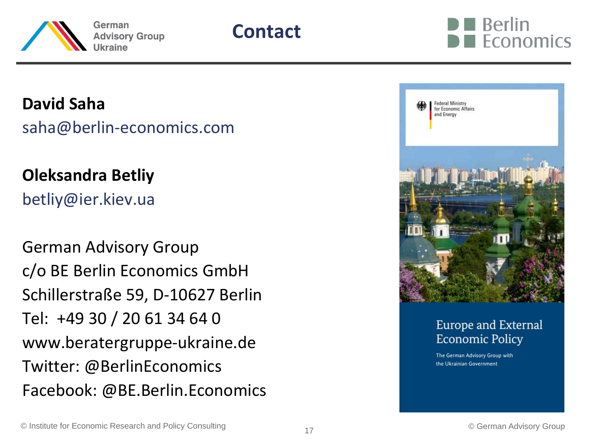



**David Saha**

saha@berlin-economics.com

**Oleksandra Betliy** betliy@ier.kiev.ua

German Advisory Group c/o BE Berlin Economics GmbH Schillerstraße 59, D-10627 Berlin Tel: +49 30 / 20 61 34 64 0 www.beratergruppe-ukraine.de Twitter: @BerlinEconomics Facebook: @BE.Berlin.Economics



#### Europe and External **Economic Policy**

The German Advisory Group with the Ukrainian Government